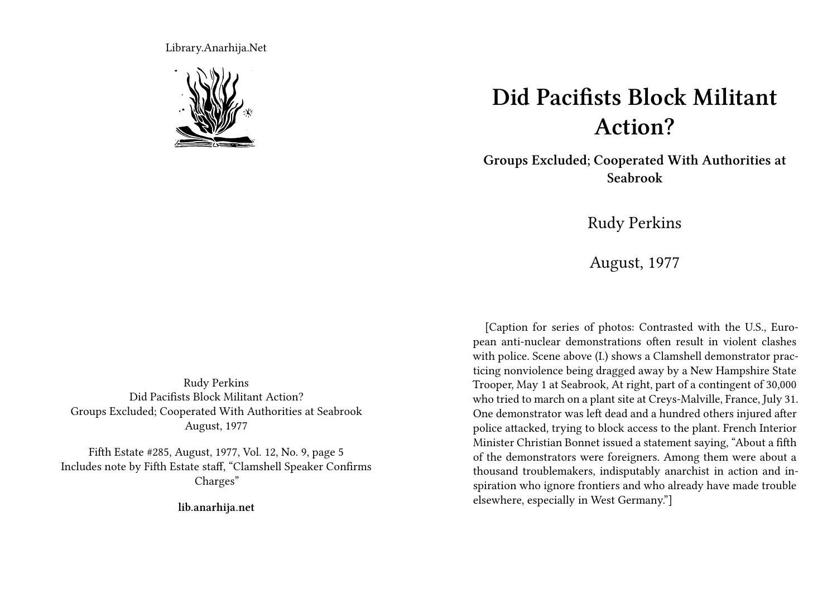Library.Anarhija.Net



## **Did Pacifists Block Militant Action?**

**Groups Excluded; Cooperated With Authorities at Seabrook**

Rudy Perkins

August, 1977

[Caption for series of photos: Contrasted with the U.S., Euro-

pean anti-nuclear demonstrations often result in violent clashes with police. Scene above (I.) shows a Clamshell demonstrator practicing nonviolence being dragged away by a New Hampshire State Trooper, May 1 at Seabrook, At right, part of a contingent of 30,000 who tried to march on a plant site at Creys-Malville, France, July 31. One demonstrator was left dead and a hundred others injured after police attacked, trying to block access to the plant. French Interior Minister Christian Bonnet issued a statement saying, "About a fifth of the demonstrators were foreigners. Among them were about a thousand troublemakers, indisputably anarchist in action and inspiration who ignore frontiers and who already have made trouble elsewhere, especially in West Germany."]

Rudy Perkins Did Pacifists Block Militant Action? Groups Excluded; Cooperated With Authorities at Seabrook August, 1977

Fifth Estate #285, August, 1977, Vol. 12, No. 9, page 5 Includes note by Fifth Estate staff, "Clamshell Speaker Confirms Charges"

**lib.anarhija.net**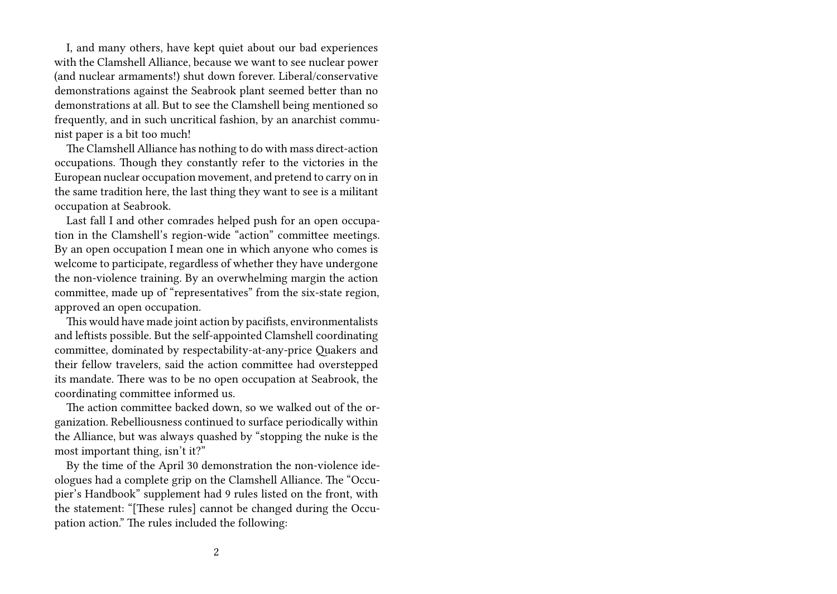I, and many others, have kept quiet about our bad experiences with the Clamshell Alliance, because we want to see nuclear power (and nuclear armaments!) shut down forever. Liberal/conservative demonstrations against the Seabrook plant seemed better than no demonstrations at all. But to see the Clamshell being mentioned so frequently, and in such uncritical fashion, by an anarchist communist paper is a bit too much!

The Clamshell Alliance has nothing to do with mass direct-action occupations. Though they constantly refer to the victories in the European nuclear occupation movement, and pretend to carry on in the same tradition here, the last thing they want to see is a militant occupation at Seabrook.

Last fall I and other comrades helped push for an open occupation in the Clamshell's region-wide "action" committee meetings. By an open occupation I mean one in which anyone who comes is welcome to participate, regardless of whether they have undergone the non-violence training. By an overwhelming margin the action committee, made up of "representatives" from the six-state region, approved an open occupation.

This would have made joint action by pacifists, environmentalists and leftists possible. But the self-appointed Clamshell coordinating committee, dominated by respectability-at-any-price Quakers and their fellow travelers, said the action committee had overstepped its mandate. There was to be no open occupation at Seabrook, the coordinating committee informed us.

The action committee backed down, so we walked out of the organization. Rebelliousness continued to surface periodically within the Alliance, but was always quashed by "stopping the nuke is the most important thing, isn't it?"

By the time of the April 30 demonstration the non-violence ideologues had a complete grip on the Clamshell Alliance. The "Occupier's Handbook" supplement had 9 rules listed on the front, with the statement: "[These rules] cannot be changed during the Occupation action." The rules included the following: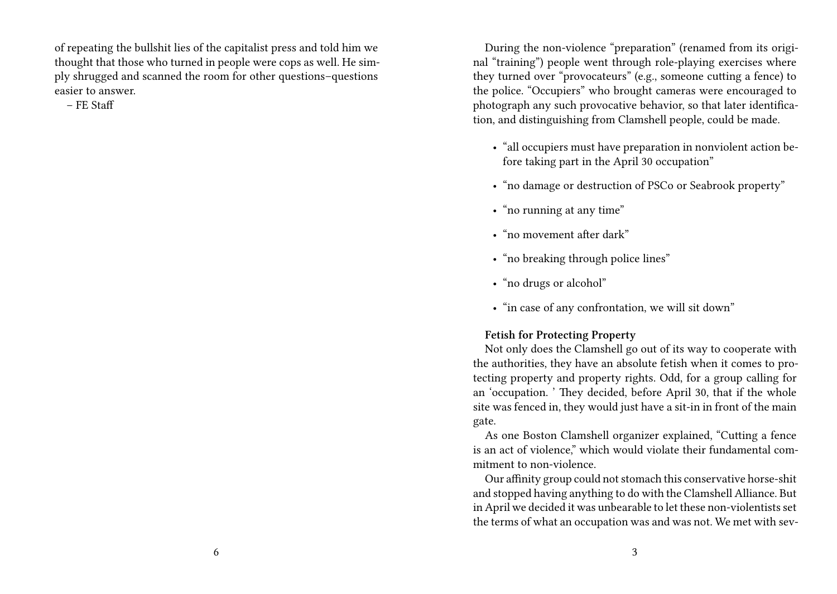of repeating the bullshit lies of the capitalist press and told him we thought that those who turned in people were cops as well. He simply shrugged and scanned the room for other questions–questions easier to answer.

– FE Staff

During the non-violence "preparation" (renamed from its original "training") people went through role-playing exercises where they turned over "provocateurs" (e.g., someone cutting a fence) to the police. "Occupiers" who brought cameras were encouraged to photograph any such provocative behavior, so that later identification, and distinguishing from Clamshell people, could be made.

- "all occupiers must have preparation in nonviolent action before taking part in the April 30 occupation"
- "no damage or destruction of PSCo or Seabrook property"
- "no running at any time"
- "no movement after dark"
- "no breaking through police lines"
- "no drugs or alcohol"
- "in case of any confrontation, we will sit down"

## **Fetish for Protecting Property**

Not only does the Clamshell go out of its way to cooperate with the authorities, they have an absolute fetish when it comes to protecting property and property rights. Odd, for a group calling for an 'occupation. ' They decided, before April 30, that if the whole site was fenced in, they would just have a sit-in in front of the main gate.

As one Boston Clamshell organizer explained, "Cutting a fence is an act of violence," which would violate their fundamental commitment to non-violence.

Our affinity group could not stomach this conservative horse-shit and stopped having anything to do with the Clamshell Alliance. But in April we decided it was unbearable to let these non-violentists set the terms of what an occupation was and was not. We met with sev